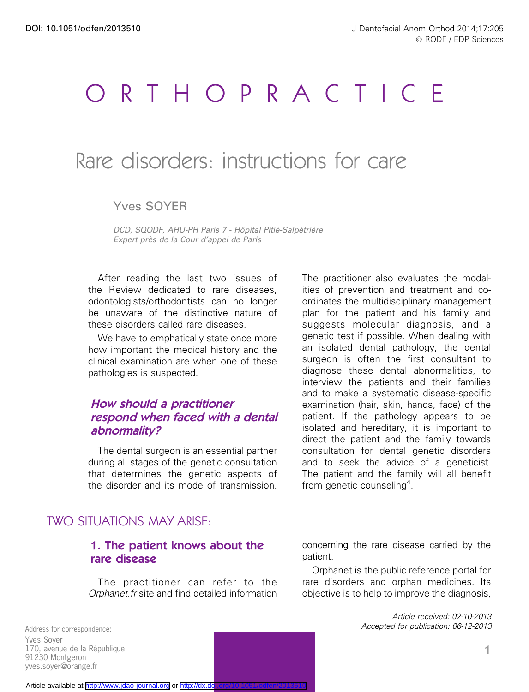# RTHOPRACTICE

## Rare disorders: instructions for care

Yves SOYER

DCD, SQODF, AHU-PH Paris 7 - Hôpital Pitié-Salpétrière Expert près de la Cour d'appel de Paris

After reading the last two issues of the Review dedicated to rare diseases, odontologists/orthodontists can no longer be unaware of the distinctive nature of these disorders called rare diseases.

We have to emphatically state once more how important the medical history and the clinical examination are when one of these pathologies is suspected.

## How should <sup>a</sup> practitioner respond when faced with <sup>a</sup> dental abnormality?

The dental surgeon is an essential partner during all stages of the genetic consultation that determines the genetic aspects of the disorder and its mode of transmission.

## TWO SITUATIONS MAY ARISE:

## 1. The patient knows about the rare disease

The practitioner can refer to the Orphanet.fr site and find detailed information The practitioner also evaluates the modalities of prevention and treatment and coordinates the multidisciplinary management plan for the patient and his family and suggests molecular diagnosis, and a genetic test if possible. When dealing with an isolated dental pathology, the dental surgeon is often the first consultant to diagnose these dental abnormalities, to interview the patients and their families and to make a systematic disease-specific examination (hair, skin, hands, face) of the patient. If the pathology appears to be isolated and hereditary, it is important to direct the patient and the family towards consultation for dental genetic disorders and to seek the advice of a geneticist. The patient and the family will all benefit from genetic counseling<sup>4</sup>.

concerning the rare disease carried by the patient.

Orphanet is the public reference portal for rare disorders and orphan medicines. Its objective is to help to improve the diagnosis,

> Article received: 02-10-2013 Accepted for publication: 06-12-2013

Address for correspondence: Yves Soyer 170, avenue de la République 91230 Montgeron yves.soyer@orange.fr

#### Article available at <http://www.jdao-journal.org> or http://dx.do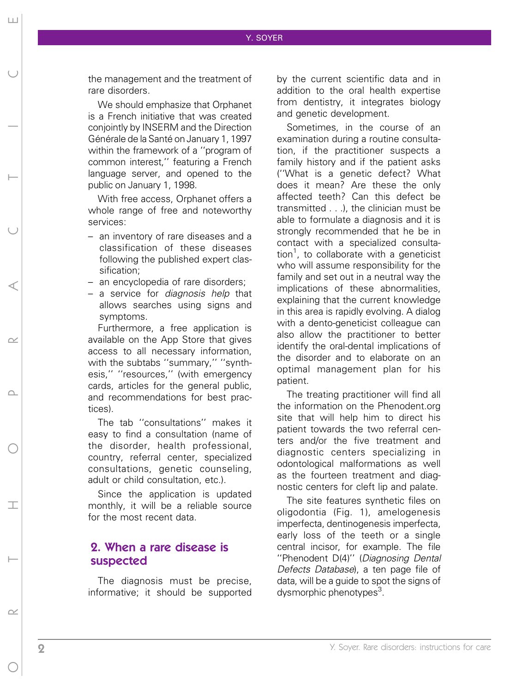the management and the treatment of rare disorders.

We should emphasize that Orphanet is a French initiative that was created conjointly by INSERM and the Direction Générale de la Santé on January 1, 1997 within the framework of a ''program of common interest,'' featuring a French language server, and opened to the public on January 1, 1998.

With free access, Orphanet offers a whole range of free and noteworthy services:

- an inventory of rare diseases and a classification of these diseases following the published expert classification;
- an encyclopedia of rare disorders;
- a service for *diagnosis help* that allows searches using signs and symptoms.

Furthermore, a free application is available on the App Store that gives access to all necessary information, with the subtabs ''summary,'' ''synthesis,'' ''resources,'' (with emergency cards, articles for the general public, and recommendations for best practices).

The tab ''consultations'' makes it easy to find a consultation (name of the disorder, health professional, country, referral center, specialized consultations, genetic counseling, adult or child consultation, etc.).

Since the application is updated monthly, it will be a reliable source for the most recent data

## 2. When a rare disease is suspected

The diagnosis must be precise, informative; it should be supported by the current scientific data and in addition to the oral health expertise from dentistry, it integrates biology and genetic development.

Sometimes, in the course of an examination during a routine consultation, if the practitioner suspects a family history and if the patient asks (''What is a genetic defect? What does it mean? Are these the only affected teeth? Can this defect be transmitted . . .), the clinician must be able to formulate a diagnosis and it is strongly recommended that he be in contact with a specialized consultation<sup>1</sup>, to collaborate with a geneticist who will assume responsibility for the family and set out in a neutral way the implications of these abnormalities, explaining that the current knowledge in this area is rapidly evolving. A dialog with a dento-geneticist colleague can also allow the practitioner to better identify the oral-dental implications of the disorder and to elaborate on an optimal management plan for his patient.

The treating practitioner will find all the information on the Phenodent.org site that will help him to direct his patient towards the two referral centers and/or the five treatment and diagnostic centers specializing in odontological malformations as well as the fourteen treatment and diagnostic centers for cleft lip and palate.

The site features synthetic files on oligodontia (Fig. 1), amelogenesis imperfecta, dentinogenesis imperfecta, early loss of the teeth or a single central incisor, for example. The file ''Phenodent D(4)'' (Diagnosing Dental Defects Database), a ten page file of data, will be a guide to spot the signs of dysmorphic phenotypes<sup>3</sup>.

Hort Corporation of the Corporation of the Corporation of the Corporation of the Corporation of the Corporation of the Corporation of the Corporation of the Corporation of the Corporation of the Corporation of the Corporat

 $\cap$ 

 $\top$ 

 $\sim$ 

 $\sim$ 

 $\sqcup\!\sqcup$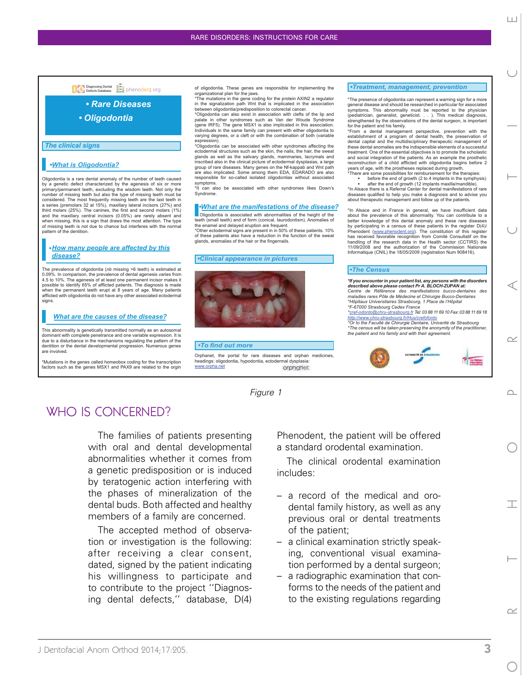#### Diagnosing Dental<br>Defects Database **Diagnosism of Diagnosism**

#### *• Rare Diseases*

*• Oligodontia*

*The clinical signs*

#### *•What is Oligodontia?*

Oligodontia is a rare dental anomaly of the number of teeth caused by a genetic defect characterized by the agenesis of six or more primary/permanent teeth, excluding the wisdom teeth. Not only the number of missing teeth but also the type of missing teeth must be considered. The most frequently missing teeth are the last teeth in a series (premolars 32 at 15%), maxillary lateral incisors (27%) and third molars (25%). The canines, the first and second molars (1%) and the maxillary central incisors (0.05%) are rarely absent and when missing, this is a sign that draws the most attention. The type of missing teeth is not due to chance but interferes with the normal pattern of the dentition.

#### *• How many people are affected by this disease?*

The prevalence of oligodontia (*nb* missing >6 teeth) is estimated at 0.09%. In comparison, the prevalence of dental agenesis varies from 4.5 to 10%. The agenesis of at least one permanent incisor makes it possible to identify 65% of afflicted patients. The diagnosis is made<br>when the permanent teeth erupt at 8 years of age. Many patients afflicted with oligodontia do not have any other associated ectodermal signs.

#### *What are the causes of the disease?*

This abnormality is genetically transmitted normally as an autosomal dominant with complete penetrance and one variable expression. It is due to a disturbance in the mechanisms regulating the pattern of the dentition or the dental developmental progression. Numerous genes are involved.

\*Mutations in the genes called homeobox coding for the transcription factors such as the genes MSX1 and PAX9 are related to the orgin of oligodontia. These genes are responsible for implementing the

organizational plan for the jaws. \*The mutations in the gene coding for the protein AXIN2 a regulator in the signalization path Wnt that is implicated in the association between oligodontia/predisposition to colorectal cancer.

\*Oligodontia can also exist in association with clefts of the lip and palate in other syndromes such as Van der Woude Syndrome (gene IRF5). The gene MSX1 is also implicated in this association. Individuals in the same family can present with either oligodontia to varying degrees, or a cleft or with the combination of both (variable expression).

\*Oligodontia can be associated with other syndromes affecting the ectodermal structures such as the skin, the nails, the hair, the sweat glands as well as the salivary glands, mammaries, lacrymals and inscribed also in the clinical picture of ectodermal dysplasias, a large group of rare diseases. Many genes on the Nf-kappab and Wnt path are also implicated. Some among them EDA, EDARADO are also responsible for so-called isolated oligodontias without associated symptoms.

can also be associated with other syndromes likes Down's Syndrome.

#### *• What are the manifestations of the disease?*

Oligodontia is associated with abnormalities of the height of the teeth (small teeth) and of form (conical, taurodontism). Anomalies of

the enamel and delayed eruption are frequent. \*Other ectodermal signs are present in in 50% of these patients. 10% of these patients also have a reduction in the function of the sweat glands, anomalies of the hair or the fingernails.

#### *•Clinical appearance in pictures*



#### *•To find out more*

Orphanet, the portal for rare diseases and orphan medicines, headings: oligodontia, hypodontia, ectodermal dysplasia:<br>www.orpha.net www.orpha.net

#### Figure 1

## WHO IS CONCERNED?

The families of patients presenting with oral and dental developmental abnormalities whether it comes from a genetic predisposition or is induced by teratogenic action interfering with the phases of mineralization of the dental buds. Both affected and healthy members of a family are concerned.

The accepted method of observation or investigation is the following: after receiving a clear consent, dated, signed by the patient indicating his willingness to participate and to contribute to the project ''Diagnosing dental defects,'' database, D(4)

Phenodent, the patient will be offered a standard orodental examination.

The clinical orodental examination includes:

- a record of the medical and orodental family history, as well as any previous oral or dental treatments of the patient;
- a clinical examination strictly speaking, conventional visual examination performed by a dental surgeon;
- a radiographic examination that conforms to the needs of the patient and to the existing regulations regarding

#### *•Treatment, management, prevention*

\*The presence of oligodontia can represent a warning sign for a more general disease and should be researched in particular for associated symptoms. This abnormality must be reported to the physician (pediatrician, generalist, geneticist. . . ). This medical diagnosis, (pediatrician, generalist, geneticist. . . ). This medical diagnosis,<br>strengthened by the observations of the dental surgeon, is important

for the patient and his family. \*From a dental management perspective, prevention with the establishment of a program of dental health, the preservation of dental capital and the multidisciplinary therapeutic management of these dental anomalies are the indispensible elements of a successful treatment. One of the essential objectives is to promote the scholastic and social integration of the patients. As an example the prosthetic reconstruction of a child afflicted with oligodontia begins before 2 years of age, with the prostheses replaced during growth. \*There are some possibilities for reimbursement for the therapies:

• before the end of growth (2 to 4 implants in the symphysis) • after the end of growth (12 implants maxilla/mandible). \*In Alsace there is a Referral Center for dental manifestations of rare diseases qualified to help you make a diagnosis and to advise you about therapeutic management and follow up of the patients.

\*In Alsace and in France in general, we have insufficient data about the prevalence of this abnormality. You can contribute to a better knowledge of this dental anomaly and these rare diseases by participating in a census of these patients in the register D(4)/ Phenodent (www.phenodent.org). The constitution of this register has received favorable recognition from Comité Consultatif on the handling of the research data in the Health sector (CCTIRS) the 11/09/2008 and the authorization of the Commission Nationale Informatique (CNIL) the 18/05/2009 (registration Num 908416).

#### *•The Census*

*\*If you encounter in your patient list, any persons with the disorders described above please contact Pr A. BLOCH-ZUPAN at: Centre de Référence des manifestations bucco-dentaires des maladies rares Pôle de Médecine et Chirurgie Bucco-Dentaires \*Hôpitaux Universitaires Strasbourg, 1 Place de l'Hôpital \*F-67000 Strasbourg Cedex France*

*\*cref-odonto@chru-strasbourg.fr Tel: 03 88 11 69 10 Fax: 03 88 11 69 18 http://www.chru-strasbourg.fr/Hus/crefofonto \*Or to the Faculté de Chirurgie Dentaire, Univerité de Strasbourg*

*\*The census will be taken preserving the anonymity of the practitioner, the patient and his family and with their agreement.* 



 $\begin{array}{c} \square \end{array}$ ORTHOPRACTICE

⊲

 $\sim$ 

 $\cap$ 

⊤

 $\sim$